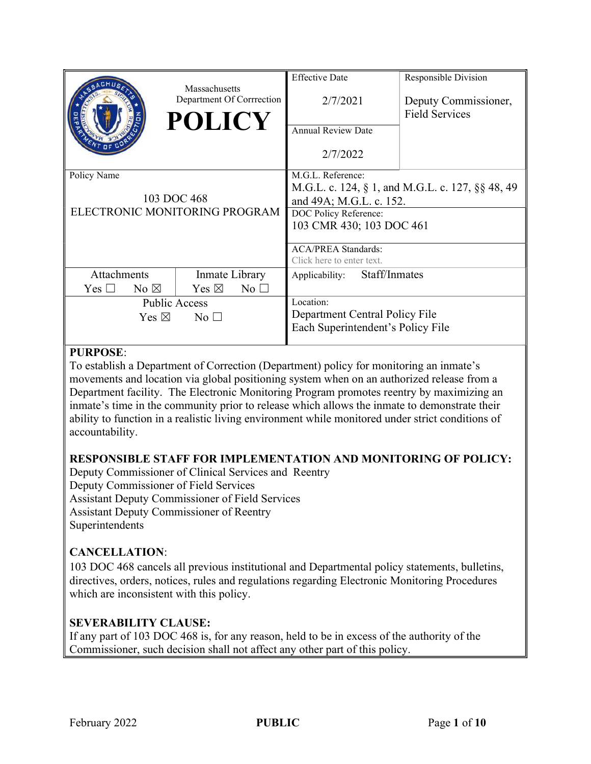|                                                             |                | Massachusetts<br>Department Of Corrrection<br><b>POLICY</b> | <b>Effective Date</b><br>2/7/2021<br><b>Annual Review Date</b><br>2/7/2022                                                                                                                                       | Responsible Division<br>Deputy Commissioner,<br><b>Field Services</b> |
|-------------------------------------------------------------|----------------|-------------------------------------------------------------|------------------------------------------------------------------------------------------------------------------------------------------------------------------------------------------------------------------|-----------------------------------------------------------------------|
| Policy Name<br>103 DOC 468<br>ELECTRONIC MONITORING PROGRAM |                |                                                             | M.G.L. Reference:<br>M.G.L. c. 124, § 1, and M.G.L. c. 127, §§ 48, 49<br>and 49A; M.G.L. c. 152.<br>DOC Policy Reference:<br>103 CMR 430; 103 DOC 461<br><b>ACA/PREA Standards:</b><br>Click here to enter text. |                                                                       |
| <b>Attachments</b><br>Yes $\Box$                            | No $\boxtimes$ | Inmate Library<br>Yes $\boxtimes$<br>$No$ $\square$         | Staff/Inmates<br>Applicability:                                                                                                                                                                                  |                                                                       |
| <b>Public Access</b><br>Yes $\boxtimes$<br>No $\square$     |                |                                                             | Location:<br>Department Central Policy File<br>Each Superintendent's Policy File                                                                                                                                 |                                                                       |

## PURPOSE:

To establish a Department of Correction (Department) policy for monitoring an inmate's movements and location via global positioning system when on an authorized release from a Department facility. The Electronic Monitoring Program promotes reentry by maximizing an inmate's time in the community prior to release which allows the inmate to demonstrate their ability to function in a realistic living environment while monitored under strict conditions of accountability.

# RESPONSIBLE STAFF FOR IMPLEMENTATION AND MONITORING OF POLICY:

Deputy Commissioner of Clinical Services and Reentry Deputy Commissioner of Field Services Assistant Deputy Commissioner of Field Services Assistant Deputy Commissioner of Reentry Superintendents

# CANCELLATION:

103 DOC 468 cancels all previous institutional and Departmental policy statements, bulletins, directives, orders, notices, rules and regulations regarding Electronic Monitoring Procedures which are inconsistent with this policy.

## SEVERABILITY CLAUSE:

If any part of 103 DOC 468 is, for any reason, held to be in excess of the authority of the Commissioner, such decision shall not affect any other part of this policy.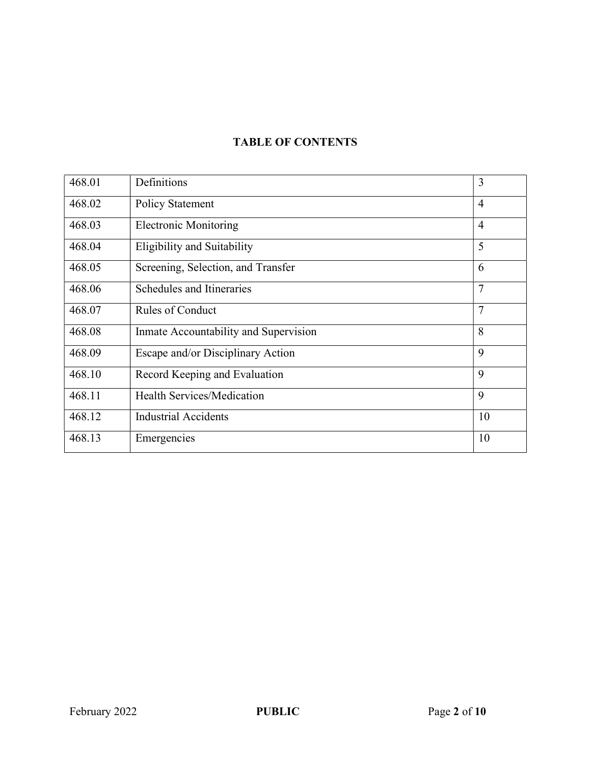# TABLE OF CONTENTS

| 468.01 | Definitions                           | 3              |
|--------|---------------------------------------|----------------|
| 468.02 | <b>Policy Statement</b>               | $\overline{4}$ |
| 468.03 | <b>Electronic Monitoring</b>          | $\overline{4}$ |
| 468.04 | Eligibility and Suitability           | 5              |
| 468.05 | Screening, Selection, and Transfer    | 6              |
| 468.06 | Schedules and Itineraries             | 7              |
| 468.07 | <b>Rules of Conduct</b>               | $\overline{7}$ |
| 468.08 | Inmate Accountability and Supervision | 8              |
| 468.09 | Escape and/or Disciplinary Action     | 9              |
| 468.10 | Record Keeping and Evaluation         | 9              |
| 468.11 | <b>Health Services/Medication</b>     | 9              |
| 468.12 | <b>Industrial Accidents</b>           | 10             |
| 468.13 | Emergencies                           | 10             |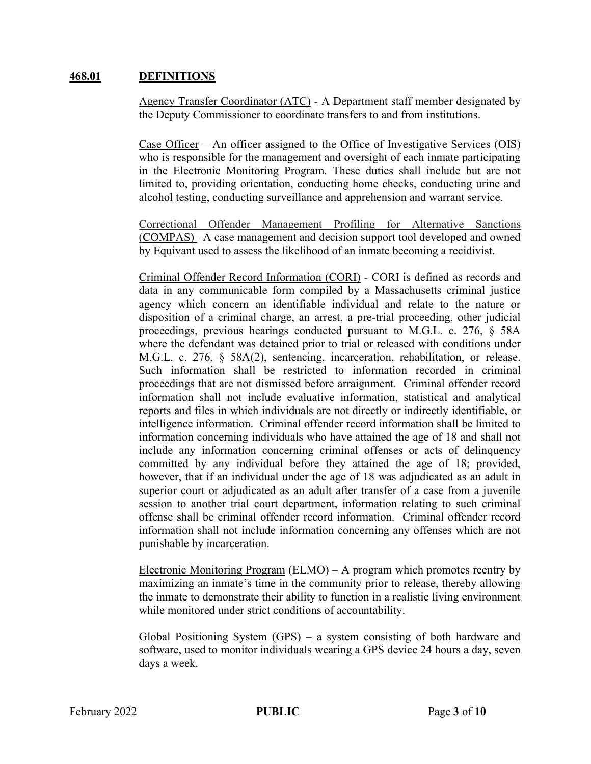#### 468.01 DEFINITIONS

Agency Transfer Coordinator (ATC) - A Department staff member designated by the Deputy Commissioner to coordinate transfers to and from institutions.

Case Officer – An officer assigned to the Office of Investigative Services (OIS) who is responsible for the management and oversight of each inmate participating in the Electronic Monitoring Program. These duties shall include but are not limited to, providing orientation, conducting home checks, conducting urine and alcohol testing, conducting surveillance and apprehension and warrant service.

Correctional Offender Management Profiling for Alternative Sanctions (COMPAS) –A case management and decision support tool developed and owned by Equivant used to assess the likelihood of an inmate becoming a recidivist.

Criminal Offender Record Information (CORI) - CORI is defined as records and data in any communicable form compiled by a Massachusetts criminal justice agency which concern an identifiable individual and relate to the nature or disposition of a criminal charge, an arrest, a pre-trial proceeding, other judicial proceedings, previous hearings conducted pursuant to M.G.L. c. 276, § 58A where the defendant was detained prior to trial or released with conditions under M.G.L. c. 276, § 58A(2), sentencing, incarceration, rehabilitation, or release. Such information shall be restricted to information recorded in criminal proceedings that are not dismissed before arraignment. Criminal offender record information shall not include evaluative information, statistical and analytical reports and files in which individuals are not directly or indirectly identifiable, or intelligence information. Criminal offender record information shall be limited to information concerning individuals who have attained the age of 18 and shall not include any information concerning criminal offenses or acts of delinquency committed by any individual before they attained the age of 18; provided, however, that if an individual under the age of 18 was adjudicated as an adult in superior court or adjudicated as an adult after transfer of a case from a juvenile session to another trial court department, information relating to such criminal offense shall be criminal offender record information. Criminal offender record information shall not include information concerning any offenses which are not punishable by incarceration.

Electronic Monitoring Program (ELMO) – A program which promotes reentry by maximizing an inmate's time in the community prior to release, thereby allowing the inmate to demonstrate their ability to function in a realistic living environment while monitored under strict conditions of accountability.

Global Positioning System (GPS) – a system consisting of both hardware and software, used to monitor individuals wearing a GPS device 24 hours a day, seven days a week.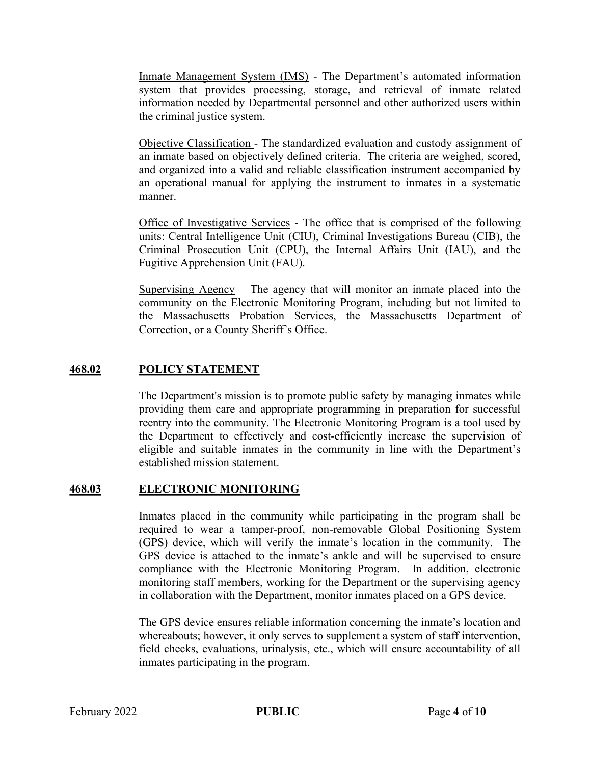Inmate Management System (IMS) - The Department's automated information system that provides processing, storage, and retrieval of inmate related information needed by Departmental personnel and other authorized users within the criminal justice system.

Objective Classification - The standardized evaluation and custody assignment of an inmate based on objectively defined criteria. The criteria are weighed, scored, and organized into a valid and reliable classification instrument accompanied by an operational manual for applying the instrument to inmates in a systematic manner.

Office of Investigative Services - The office that is comprised of the following units: Central Intelligence Unit (CIU), Criminal Investigations Bureau (CIB), the Criminal Prosecution Unit (CPU), the Internal Affairs Unit (IAU), and the Fugitive Apprehension Unit (FAU).

Supervising Agency – The agency that will monitor an inmate placed into the community on the Electronic Monitoring Program, including but not limited to the Massachusetts Probation Services, the Massachusetts Department of Correction, or a County Sheriff's Office.

## 468.02 POLICY STATEMENT

The Department's mission is to promote public safety by managing inmates while providing them care and appropriate programming in preparation for successful reentry into the community. The Electronic Monitoring Program is a tool used by the Department to effectively and cost-efficiently increase the supervision of eligible and suitable inmates in the community in line with the Department's established mission statement.

## 468.03 ELECTRONIC MONITORING

Inmates placed in the community while participating in the program shall be required to wear a tamper-proof, non-removable Global Positioning System (GPS) device, which will verify the inmate's location in the community. The GPS device is attached to the inmate's ankle and will be supervised to ensure compliance with the Electronic Monitoring Program. In addition, electronic monitoring staff members, working for the Department or the supervising agency in collaboration with the Department, monitor inmates placed on a GPS device.

The GPS device ensures reliable information concerning the inmate's location and whereabouts; however, it only serves to supplement a system of staff intervention, field checks, evaluations, urinalysis, etc., which will ensure accountability of all inmates participating in the program.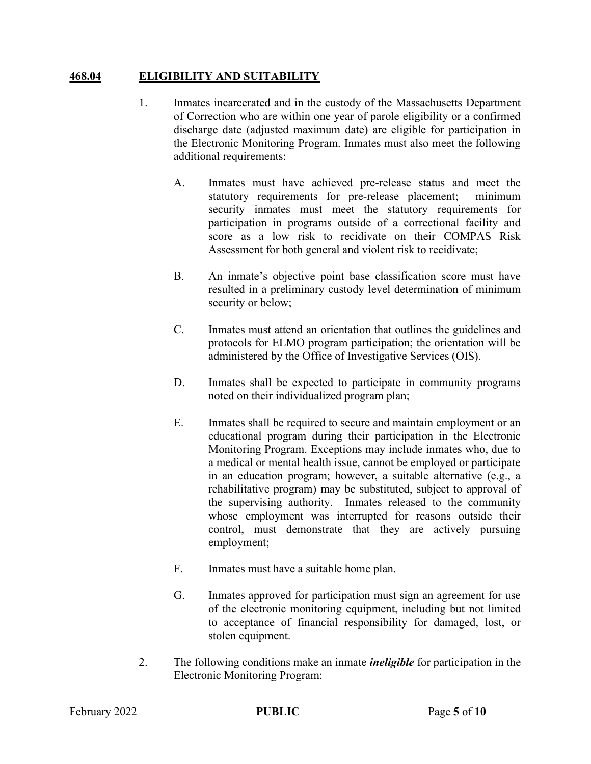### 468.04 ELIGIBILITY AND SUITABILITY

- 1. Inmates incarcerated and in the custody of the Massachusetts Department of Correction who are within one year of parole eligibility or a confirmed discharge date (adjusted maximum date) are eligible for participation in the Electronic Monitoring Program. Inmates must also meet the following additional requirements:
	- A. Inmates must have achieved pre-release status and meet the statutory requirements for pre-release placement; minimum security inmates must meet the statutory requirements for participation in programs outside of a correctional facility and score as a low risk to recidivate on their COMPAS Risk Assessment for both general and violent risk to recidivate;
	- B. An inmate's objective point base classification score must have resulted in a preliminary custody level determination of minimum security or below;
	- C. Inmates must attend an orientation that outlines the guidelines and protocols for ELMO program participation; the orientation will be administered by the Office of Investigative Services (OIS).
	- D. Inmates shall be expected to participate in community programs noted on their individualized program plan;
	- E. Inmates shall be required to secure and maintain employment or an educational program during their participation in the Electronic Monitoring Program. Exceptions may include inmates who, due to a medical or mental health issue, cannot be employed or participate in an education program; however, a suitable alternative (e.g., a rehabilitative program) may be substituted, subject to approval of the supervising authority. Inmates released to the community whose employment was interrupted for reasons outside their control, must demonstrate that they are actively pursuing employment;
	- F. Inmates must have a suitable home plan.
	- G. Inmates approved for participation must sign an agreement for use of the electronic monitoring equipment, including but not limited to acceptance of financial responsibility for damaged, lost, or stolen equipment.
- 2. The following conditions make an inmate *ineligible* for participation in the Electronic Monitoring Program: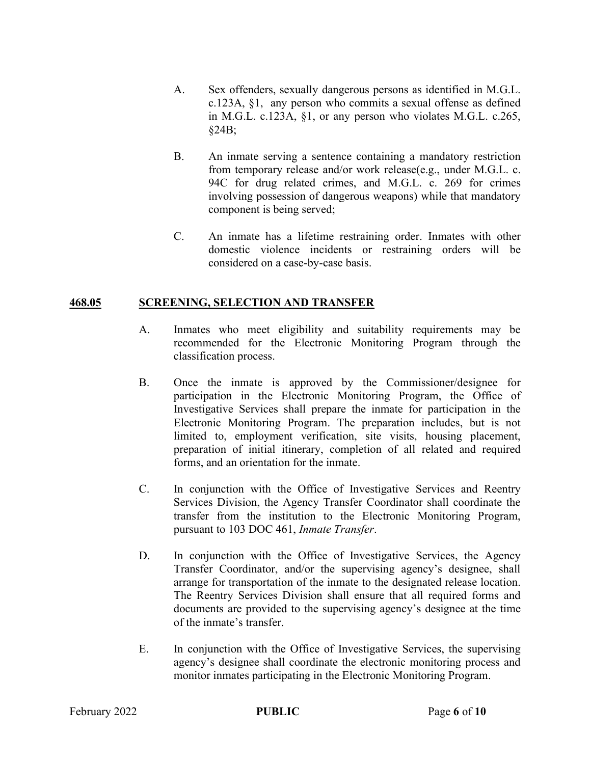- A. Sex offenders, sexually dangerous persons as identified in M.G.L. c.123A, §1, any person who commits a sexual offense as defined in M.G.L. c.123A, §1, or any person who violates M.G.L. c.265, §24B;
- B. An inmate serving a sentence containing a mandatory restriction from temporary release and/or work release(e.g., under M.G.L. c. 94C for drug related crimes, and M.G.L. c. 269 for crimes involving possession of dangerous weapons) while that mandatory component is being served;
- C. An inmate has a lifetime restraining order. Inmates with other domestic violence incidents or restraining orders will be considered on a case-by-case basis.

### 468.05 SCREENING, SELECTION AND TRANSFER

- A. Inmates who meet eligibility and suitability requirements may be recommended for the Electronic Monitoring Program through the classification process.
- B. Once the inmate is approved by the Commissioner/designee for participation in the Electronic Monitoring Program, the Office of Investigative Services shall prepare the inmate for participation in the Electronic Monitoring Program. The preparation includes, but is not limited to, employment verification, site visits, housing placement, preparation of initial itinerary, completion of all related and required forms, and an orientation for the inmate.
- C. In conjunction with the Office of Investigative Services and Reentry Services Division, the Agency Transfer Coordinator shall coordinate the transfer from the institution to the Electronic Monitoring Program, pursuant to 103 DOC 461, Inmate Transfer.
- D. In conjunction with the Office of Investigative Services, the Agency Transfer Coordinator, and/or the supervising agency's designee, shall arrange for transportation of the inmate to the designated release location. The Reentry Services Division shall ensure that all required forms and documents are provided to the supervising agency's designee at the time of the inmate's transfer.
- E. In conjunction with the Office of Investigative Services, the supervising agency's designee shall coordinate the electronic monitoring process and monitor inmates participating in the Electronic Monitoring Program.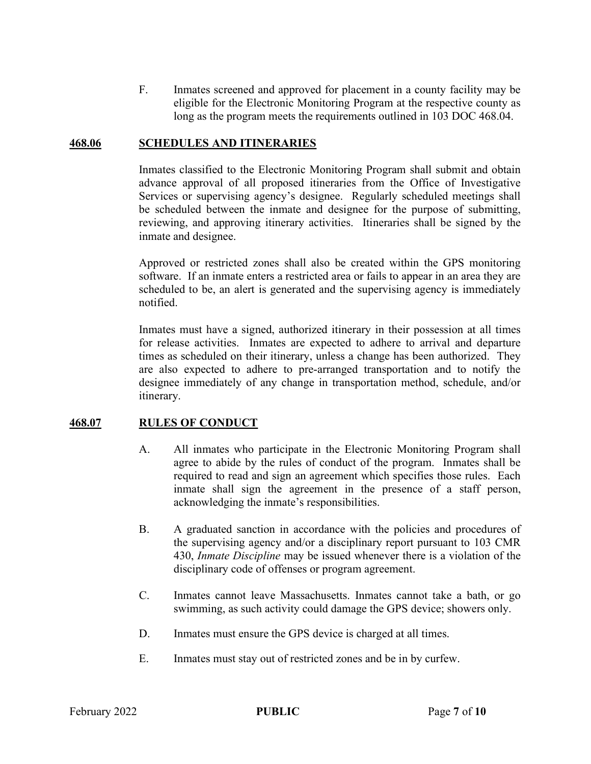F. Inmates screened and approved for placement in a county facility may be eligible for the Electronic Monitoring Program at the respective county as long as the program meets the requirements outlined in 103 DOC 468.04.

#### 468.06 SCHEDULES AND ITINERARIES

Inmates classified to the Electronic Monitoring Program shall submit and obtain advance approval of all proposed itineraries from the Office of Investigative Services or supervising agency's designee. Regularly scheduled meetings shall be scheduled between the inmate and designee for the purpose of submitting, reviewing, and approving itinerary activities. Itineraries shall be signed by the inmate and designee.

Approved or restricted zones shall also be created within the GPS monitoring software. If an inmate enters a restricted area or fails to appear in an area they are scheduled to be, an alert is generated and the supervising agency is immediately notified.

Inmates must have a signed, authorized itinerary in their possession at all times for release activities. Inmates are expected to adhere to arrival and departure times as scheduled on their itinerary, unless a change has been authorized. They are also expected to adhere to pre-arranged transportation and to notify the designee immediately of any change in transportation method, schedule, and/or itinerary.

## 468.07 RULES OF CONDUCT

- A. All inmates who participate in the Electronic Monitoring Program shall agree to abide by the rules of conduct of the program. Inmates shall be required to read and sign an agreement which specifies those rules. Each inmate shall sign the agreement in the presence of a staff person, acknowledging the inmate's responsibilities.
- B. A graduated sanction in accordance with the policies and procedures of the supervising agency and/or a disciplinary report pursuant to 103 CMR 430, Inmate Discipline may be issued whenever there is a violation of the disciplinary code of offenses or program agreement.
- C. Inmates cannot leave Massachusetts. Inmates cannot take a bath, or go swimming, as such activity could damage the GPS device; showers only.
- D. Inmates must ensure the GPS device is charged at all times.
- E. Inmates must stay out of restricted zones and be in by curfew.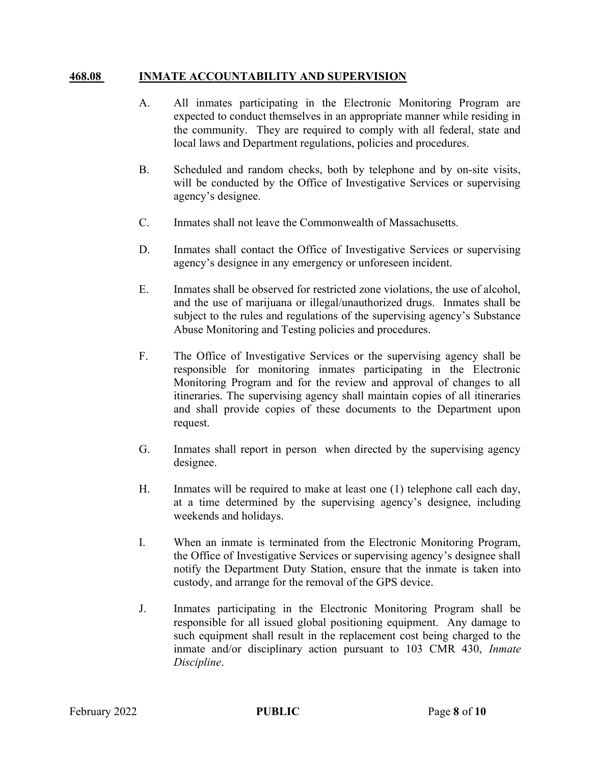#### 468.08 INMATE ACCOUNTABILITY AND SUPERVISION

- A. All inmates participating in the Electronic Monitoring Program are expected to conduct themselves in an appropriate manner while residing in the community. They are required to comply with all federal, state and local laws and Department regulations, policies and procedures.
- B. Scheduled and random checks, both by telephone and by on-site visits, will be conducted by the Office of Investigative Services or supervising agency's designee.
- C. Inmates shall not leave the Commonwealth of Massachusetts.
- D. Inmates shall contact the Office of Investigative Services or supervising agency's designee in any emergency or unforeseen incident.
- E. Inmates shall be observed for restricted zone violations, the use of alcohol, and the use of marijuana or illegal/unauthorized drugs. Inmates shall be subject to the rules and regulations of the supervising agency's Substance Abuse Monitoring and Testing policies and procedures.
- F. The Office of Investigative Services or the supervising agency shall be responsible for monitoring inmates participating in the Electronic Monitoring Program and for the review and approval of changes to all itineraries. The supervising agency shall maintain copies of all itineraries and shall provide copies of these documents to the Department upon request.
- G. Inmates shall report in person when directed by the supervising agency designee.
- H. Inmates will be required to make at least one (1) telephone call each day, at a time determined by the supervising agency's designee, including weekends and holidays.
- I. When an inmate is terminated from the Electronic Monitoring Program, the Office of Investigative Services or supervising agency's designee shall notify the Department Duty Station, ensure that the inmate is taken into custody, and arrange for the removal of the GPS device.
- J. Inmates participating in the Electronic Monitoring Program shall be responsible for all issued global positioning equipment. Any damage to such equipment shall result in the replacement cost being charged to the inmate and/or disciplinary action pursuant to 103 CMR 430, Inmate Discipline.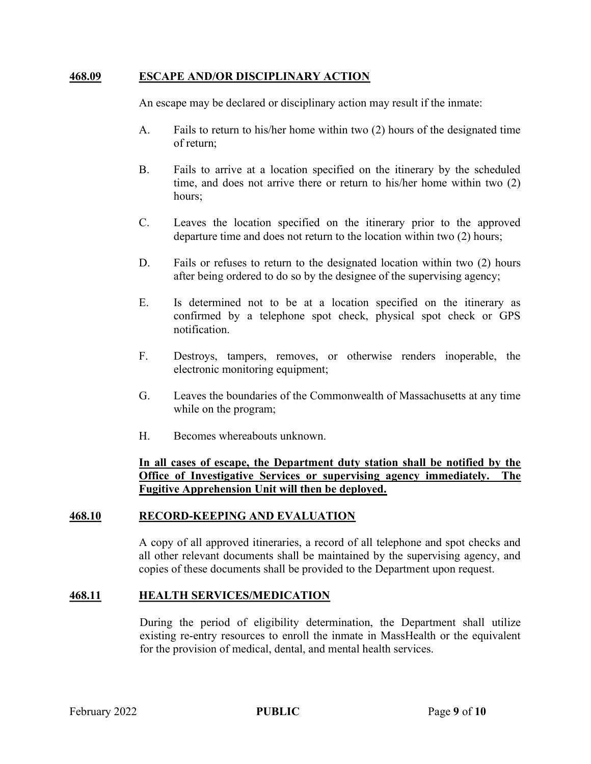#### 468.09 ESCAPE AND/OR DISCIPLINARY ACTION

An escape may be declared or disciplinary action may result if the inmate:

- A. Fails to return to his/her home within two (2) hours of the designated time of return;
- B. Fails to arrive at a location specified on the itinerary by the scheduled time, and does not arrive there or return to his/her home within two (2) hours;
- C. Leaves the location specified on the itinerary prior to the approved departure time and does not return to the location within two (2) hours;
- D. Fails or refuses to return to the designated location within two (2) hours after being ordered to do so by the designee of the supervising agency;
- E. Is determined not to be at a location specified on the itinerary as confirmed by a telephone spot check, physical spot check or GPS notification.
- F. Destroys, tampers, removes, or otherwise renders inoperable, the electronic monitoring equipment;
- G. Leaves the boundaries of the Commonwealth of Massachusetts at any time while on the program;
- H. Becomes whereabouts unknown.

### In all cases of escape, the Department duty station shall be notified by the Office of Investigative Services or supervising agency immediately. The Fugitive Apprehension Unit will then be deployed.

#### 468.10 RECORD-KEEPING AND EVALUATION

A copy of all approved itineraries, a record of all telephone and spot checks and all other relevant documents shall be maintained by the supervising agency, and copies of these documents shall be provided to the Department upon request.

#### 468.11 HEALTH SERVICES/MEDICATION

During the period of eligibility determination, the Department shall utilize existing re-entry resources to enroll the inmate in MassHealth or the equivalent for the provision of medical, dental, and mental health services.